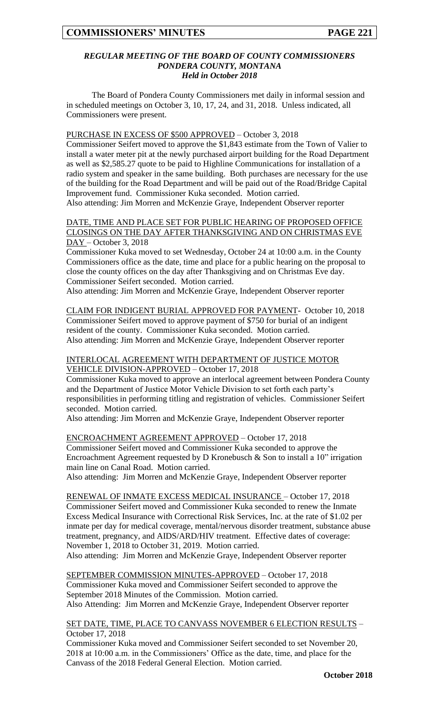### *REGULAR MEETING OF THE BOARD OF COUNTY COMMISSIONERS PONDERA COUNTY, MONTANA Held in October 2018*

The Board of Pondera County Commissioners met daily in informal session and in scheduled meetings on October 3, 10, 17, 24, and 31, 2018. Unless indicated, all Commissioners were present.

### PURCHASE IN EXCESS OF \$500 APPROVED – October 3, 2018

Commissioner Seifert moved to approve the \$1,843 estimate from the Town of Valier to install a water meter pit at the newly purchased airport building for the Road Department as well as \$2,585.27 quote to be paid to Highline Communications for installation of a radio system and speaker in the same building. Both purchases are necessary for the use of the building for the Road Department and will be paid out of the Road/Bridge Capital Improvement fund. Commissioner Kuka seconded. Motion carried. Also attending: Jim Morren and McKenzie Graye, Independent Observer reporter

### DATE, TIME AND PLACE SET FOR PUBLIC HEARING OF PROPOSED OFFICE CLOSINGS ON THE DAY AFTER THANKSGIVING AND ON CHRISTMAS EVE DAY – October 3, 2018

Commissioner Kuka moved to set Wednesday, October 24 at 10:00 a.m. in the County Commissioners office as the date, time and place for a public hearing on the proposal to close the county offices on the day after Thanksgiving and on Christmas Eve day. Commissioner Seifert seconded. Motion carried.

Also attending: Jim Morren and McKenzie Graye, Independent Observer reporter

CLAIM FOR INDIGENT BURIAL APPROVED FOR PAYMENT- October 10, 2018 Commissioner Seifert moved to approve payment of \$750 for burial of an indigent resident of the county. Commissioner Kuka seconded. Motion carried. Also attending: Jim Morren and McKenzie Graye, Independent Observer reporter

### INTERLOCAL AGREEMENT WITH DEPARTMENT OF JUSTICE MOTOR VEHICLE DIVISION-APPROVED – October 17, 2018

Commissioner Kuka moved to approve an interlocal agreement between Pondera County and the Department of Justice Motor Vehicle Division to set forth each party's responsibilities in performing titling and registration of vehicles. Commissioner Seifert seconded. Motion carried.

Also attending: Jim Morren and McKenzie Graye, Independent Observer reporter

### ENCROACHMENT AGREEMENT APPROVED – October 17, 2018 Commissioner Seifert moved and Commissioner Kuka seconded to approve the Encroachment Agreement requested by D Kronebusch & Son to install a 10" irrigation main line on Canal Road. Motion carried.

Also attending: Jim Morren and McKenzie Graye, Independent Observer reporter

RENEWAL OF INMATE EXCESS MEDICAL INSURANCE – October 17, 2018 Commissioner Seifert moved and Commissioner Kuka seconded to renew the Inmate Excess Medical Insurance with Correctional Risk Services, Inc. at the rate of \$1.02 per inmate per day for medical coverage, mental/nervous disorder treatment, substance abuse treatment, pregnancy, and AIDS/ARD/HIV treatment. Effective dates of coverage: November 1, 2018 to October 31, 2019. Motion carried. Also attending: Jim Morren and McKenzie Graye, Independent Observer reporter

SEPTEMBER COMMISSION MINUTES-APPROVED – October 17, 2018 Commissioner Kuka moved and Commissioner Seifert seconded to approve the September 2018 Minutes of the Commission. Motion carried. Also Attending: Jim Morren and McKenzie Graye, Independent Observer reporter

#### SET DATE, TIME, PLACE TO CANVASS NOVEMBER 6 ELECTION RESULTS – October 17, 2018

Commissioner Kuka moved and Commissioner Seifert seconded to set November 20, 2018 at 10:00 a.m. in the Commissioners' Office as the date, time, and place for the Canvass of the 2018 Federal General Election. Motion carried.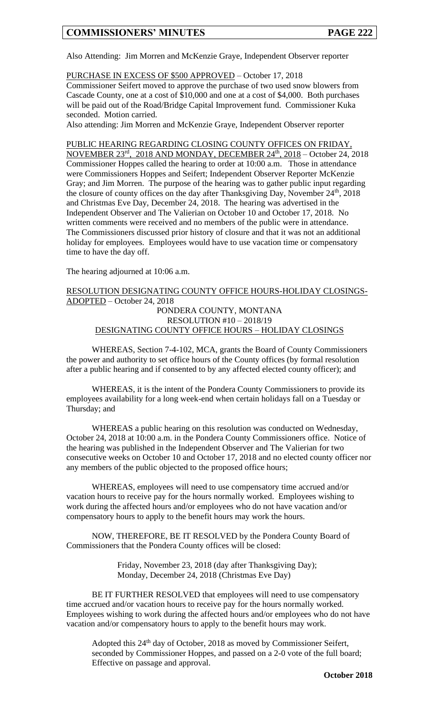Also Attending: Jim Morren and McKenzie Graye, Independent Observer reporter

PURCHASE IN EXCESS OF \$500 APPROVED – October 17, 2018

Commissioner Seifert moved to approve the purchase of two used snow blowers from Cascade County, one at a cost of \$10,000 and one at a cost of \$4,000. Both purchases will be paid out of the Road/Bridge Capital Improvement fund. Commissioner Kuka seconded. Motion carried.

Also attending: Jim Morren and McKenzie Graye, Independent Observer reporter

PUBLIC HEARING REGARDING CLOSING COUNTY OFFICES ON FRIDAY, NOVEMBER 23<sup>rd</sup>, 2018 AND MONDAY, DECEMBER 24<sup>th</sup>, 2018 – October 24, 2018 Commissioner Hoppes called the hearing to order at 10:00 a.m. Those in attendance were Commissioners Hoppes and Seifert; Independent Observer Reporter McKenzie Gray; and Jim Morren. The purpose of the hearing was to gather public input regarding the closure of county offices on the day after Thanksgiving Day, November  $24<sup>th</sup>$ ,  $2018$ and Christmas Eve Day, December 24, 2018. The hearing was advertised in the Independent Observer and The Valierian on October 10 and October 17, 2018. No written comments were received and no members of the public were in attendance. The Commissioners discussed prior history of closure and that it was not an additional holiday for employees. Employees would have to use vacation time or compensatory time to have the day off.

The hearing adjourned at 10:06 a.m.

RESOLUTION DESIGNATING COUNTY OFFICE HOURS-HOLIDAY CLOSINGS-ADOPTED – October 24, 2018 PONDERA COUNTY, MONTANA RESOLUTION #10 – 2018/19 DESIGNATING COUNTY OFFICE HOURS – HOLIDAY CLOSINGS

WHEREAS, Section 7-4-102, MCA, grants the Board of County Commissioners the power and authority to set office hours of the County offices (by formal resolution after a public hearing and if consented to by any affected elected county officer); and

WHEREAS, it is the intent of the Pondera County Commissioners to provide its employees availability for a long week-end when certain holidays fall on a Tuesday or Thursday; and

WHEREAS a public hearing on this resolution was conducted on Wednesday, October 24, 2018 at 10:00 a.m. in the Pondera County Commissioners office. Notice of the hearing was published in the Independent Observer and The Valierian for two consecutive weeks on October 10 and October 17, 2018 and no elected county officer nor any members of the public objected to the proposed office hours;

WHEREAS, employees will need to use compensatory time accrued and/or vacation hours to receive pay for the hours normally worked. Employees wishing to work during the affected hours and/or employees who do not have vacation and/or compensatory hours to apply to the benefit hours may work the hours.

NOW, THEREFORE, BE IT RESOLVED by the Pondera County Board of Commissioners that the Pondera County offices will be closed:

> Friday, November 23, 2018 (day after Thanksgiving Day); Monday, December 24, 2018 (Christmas Eve Day)

BE IT FURTHER RESOLVED that employees will need to use compensatory time accrued and/or vacation hours to receive pay for the hours normally worked. Employees wishing to work during the affected hours and/or employees who do not have vacation and/or compensatory hours to apply to the benefit hours may work.

Adopted this 24<sup>th</sup> day of October, 2018 as moved by Commissioner Seifert, seconded by Commissioner Hoppes, and passed on a 2-0 vote of the full board; Effective on passage and approval.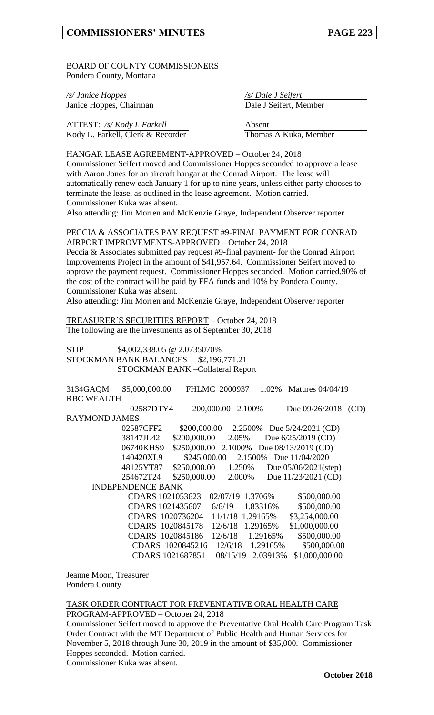BOARD OF COUNTY COMMISSIONERS Pondera County, Montana

*/s/ Janice Hoppes /s/ Dale J Seifert* Janice Hoppes, Chairman Dale J Seifert, Member

ATTEST: /s/ Kody L Farkell **Absent** Kody L. Farkell, Clerk & Recorder Thomas A Kuka, Member

HANGAR LEASE AGREEMENT-APPROVED – October 24, 2018 Commissioner Seifert moved and Commissioner Hoppes seconded to approve a lease with Aaron Jones for an aircraft hangar at the Conrad Airport. The lease will automatically renew each January 1 for up to nine years, unless either party chooses to terminate the lease, as outlined in the lease agreement. Motion carried. Commissioner Kuka was absent.

Also attending: Jim Morren and McKenzie Graye, Independent Observer reporter

PECCIA & ASSOCIATES PAY REQUEST #9-FINAL PAYMENT FOR CONRAD AIRPORT IMPROVEMENTS-APPROVED – October 24, 2018

Peccia & Associates submitted pay request #9-final payment- for the Conrad Airport Improvements Project in the amount of \$41,957.64. Commissioner Seifert moved to approve the payment request. Commissioner Hoppes seconded. Motion carried.90% of the cost of the contract will be paid by FFA funds and 10% by Pondera County. Commissioner Kuka was absent.

Also attending: Jim Morren and McKenzie Graye, Independent Observer reporter

TREASURER'S SECURITIES REPORT – October 24, 2018 The following are the investments as of September 30, 2018

STIP \$4,002,338.05 @ 2.0735070% STOCKMAN BANK BALANCES \$2,196,771.21 STOCKMAN BANK –Collateral Report

| 3134GAQM             | \$5,000,000.00           |                      | FHLMC 2000937    | 1.02%     | Matures $04/04/19$      |      |
|----------------------|--------------------------|----------------------|------------------|-----------|-------------------------|------|
| <b>RBC WEALTH</b>    |                          |                      |                  |           |                         |      |
|                      | 02587DTY4                |                      | 200,000.00       | 2.100\%   | Due 09/26/2018          | (CD) |
| <b>RAYMOND JAMES</b> |                          |                      |                  |           |                         |      |
|                      | 02587CFF2                | \$200,000.00         | 2.2500\%         |           | Due $5/24/2021$ (CD)    |      |
|                      | 38147JL42                | \$200,000.00         | 2.05%            |           | Due 6/25/2019 (CD)      |      |
|                      | 06740KHS9                | \$250,000.00 2.1000% |                  |           | Due $08/13/2019$ (CD)   |      |
|                      | 140420XL9                | \$245,000.00         |                  |           | 2.1500\% Due 11/04/2020 |      |
|                      | 48125YT87                | \$250,000.00         | 1.250\%          |           | Due $05/06/2021$ (step) |      |
|                      | 254672T24                | \$250,000.00         | 2.000%           |           | Due 11/23/2021 (CD)     |      |
|                      | <b>INDEPENDENCE BANK</b> |                      |                  |           |                         |      |
|                      | CDARS 1021053623         |                      | 02/07/19 1.3706% |           | \$500,000.00            |      |
|                      | CDARS 1021435607         |                      | 6/6/19           | 1.83316%  | \$500,000.00            |      |
|                      | CDARS 1020736204         |                      | 11/1/18          | 1.29165\% | \$3,254,000.00          |      |
|                      | CDARS 1020845178         |                      | 12/6/18          | 1.29165\% | \$1,000,000.00          |      |
|                      | CDARS 1020845186         |                      | 12/6/18          | 1.29165%  | \$500,000.00            |      |
|                      | CDARS 1020845216         |                      | 12/6/18          | 1.29165%  | \$500,000.00            |      |
|                      | CDARS 1021687851         |                      | 08/15/19         | 2.03913%  | \$1,000,000.00          |      |

Jeanne Moon, Treasurer Pondera County

## TASK ORDER CONTRACT FOR PREVENTATIVE ORAL HEALTH CARE

PROGRAM-APPROVED – October 24, 2018 Commissioner Seifert moved to approve the Preventative Oral Health Care Program Task Order Contract with the MT Department of Public Health and Human Services for November 5, 2018 through June 30, 2019 in the amount of \$35,000. Commissioner Hoppes seconded. Motion carried.

Commissioner Kuka was absent.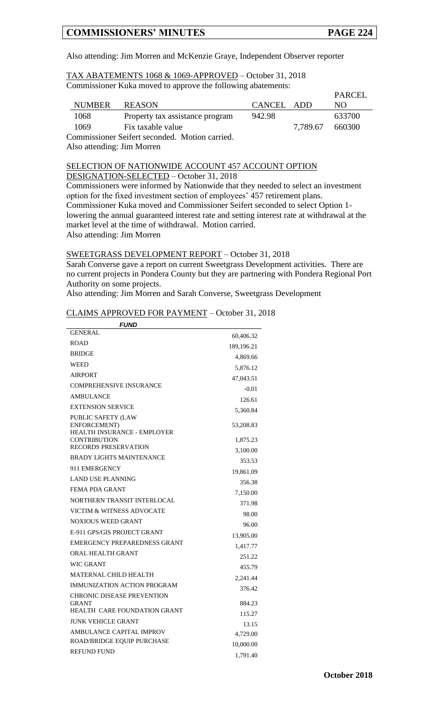Also attending: Jim Morren and McKenzie Graye, Independent Observer reporter

### TAX ABATEMENTS 1068 & 1069-APPROVED – October 31, 2018 Commissioner Kuka moved to approve the following abatements:

|                                                |                           |                                 |            |          | <b>PARCEL</b> |  |
|------------------------------------------------|---------------------------|---------------------------------|------------|----------|---------------|--|
|                                                | <b>NUMBER</b>             | <b>REASON</b>                   | CANCEL ADD |          | NO.           |  |
|                                                | 1068                      | Property tax assistance program | 942.98     |          | 633700        |  |
|                                                | 1069<br>Fix taxable value |                                 |            | 7.789.67 | 660300        |  |
| Commissioner Seifert seconded. Motion carried. |                           |                                 |            |          |               |  |

Also attending: Jim Morren

## SELECTION OF NATIONWIDE ACCOUNT 457 ACCOUNT OPTION

DESIGNATION-SELECTED – October 31, 2018

Commissioners were informed by Nationwide that they needed to select an investment option for the fixed investment section of employees' 457 retirement plans. Commissioner Kuka moved and Commissioner Seifert seconded to select Option 1 lowering the annual guaranteed interest rate and setting interest rate at withdrawal at the market level at the time of withdrawal. Motion carried. Also attending: Jim Morren

### SWEETGRASS DEVELOPMENT REPORT – October 31, 2018

Sarah Converse gave a report on current Sweetgrass Development activities. There are no current projects in Pondera County but they are partnering with Pondera Regional Port Authority on some projects.

Also attending: Jim Morren and Sarah Converse, Sweetgrass Development

### CLAIMS APPROVED FOR PAYMENT – October 31, 2018

| <i>FUND</i>                                                |              |
|------------------------------------------------------------|--------------|
| <b>GENERAL</b>                                             | 60,406.32    |
| <b>ROAD</b>                                                | 189, 196. 21 |
| <b>BRIDGE</b>                                              | 4,869.66     |
| WEED                                                       | 5,876.12     |
| <b>AIRPORT</b>                                             | 47,043.51    |
| COMPREHENSIVE INSURANCE                                    | $-0.01$      |
| <b>AMBULANCE</b>                                           | 126.61       |
| <b>EXTENSION SERVICE</b>                                   | 5,360.84     |
| <b>PUBLIC SAFETY (LAW</b>                                  |              |
| <b>ENFORCEMENT</b> )<br><b>HEALTH INSURANCE - EMPLOYER</b> | 53,208.83    |
| <b>CONTRIBUTION</b>                                        | 1,875.23     |
| <b>RECORDS PRESERVATION</b>                                | 3,100.00     |
| <b>BRADY LIGHTS MAINTENANCE</b>                            | 353.53       |
| 911 EMERGENCY                                              | 19,861.09    |
| <b>LAND USE PLANNING</b>                                   | 356.38       |
| <b>FEMA PDA GRANT</b>                                      | 7,150.00     |
| NORTHERN TRANSIT INTERLOCAL                                | 371.98       |
| VICTIM & WITNESS ADVOCATE                                  | 98.00        |
| <b>NOXIOUS WEED GRANT</b>                                  | 96.00        |
| E-911 GPS/GIS PROJECT GRANT                                | 13,905.00    |
| EMERGENCY PREPAREDNESS GRANT                               | 1,417.77     |
| ORAL HEALTH GRANT                                          | 251.22       |
| <b>WIC GRANT</b>                                           | 455.79       |
| <b>MATERNAL CHILD HEALTH</b>                               | 2,241.44     |
| <b>IMMUNIZATION ACTION PROGRAM</b>                         | 376.42       |
| <b>CHRONIC DISEASE PREVENTION</b>                          |              |
| <b>GRANT</b>                                               | 884.23       |
| <b>HEALTH CARE FOUNDATION GRANT</b>                        | 115.27       |
| <b>JUNK VEHICLE GRANT</b>                                  | 13.15        |
| AMBULANCE CAPITAL IMPROV                                   | 4,729.00     |
| ROAD/BRIDGE EQUIP PURCHASE<br><b>REFUND FUND</b>           | 10,000.00    |
|                                                            | 1,791.40     |